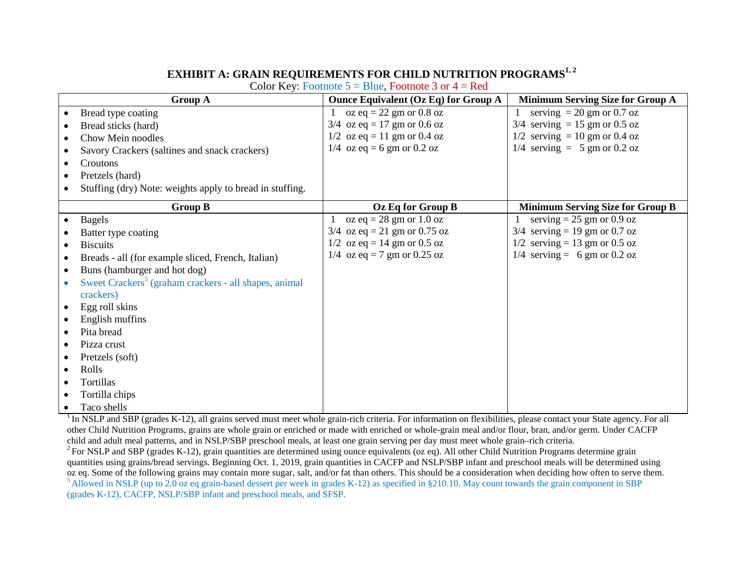## **EXHIBIT A: GRAIN REQUIREMENTS FOR CHILD NUTRITION PROGRAMS1, 2**

Color Key: Footnote  $5 =$  Blue, Footnote 3 or  $4 =$  Red

|           | <b>Group A</b>                                                    | <b>Ounce Equivalent (Oz Eq) for Group A</b> | <b>Minimum Serving Size for Group A</b> |
|-----------|-------------------------------------------------------------------|---------------------------------------------|-----------------------------------------|
|           | Bread type coating                                                | oz eq = 22 gm or 0.8 oz                     | serving $= 20$ gm or 0.7 oz             |
|           | Bread sticks (hard)                                               | $3/4$ oz eq = 17 gm or 0.6 oz               | $3/4$ serving = 15 gm or 0.5 oz         |
|           | Chow Mein noodles                                                 | $1/2$ oz eq = 11 gm or 0.4 oz               | $1/2$ serving = 10 gm or 0.4 oz         |
|           | Savory Crackers (saltines and snack crackers)                     | $1/4$ oz eq = 6 gm or 0.2 oz                | $1/4$ serving = 5 gm or 0.2 oz          |
| $\bullet$ | Croutons                                                          |                                             |                                         |
| $\bullet$ | Pretzels (hard)                                                   |                                             |                                         |
|           | Stuffing (dry) Note: weights apply to bread in stuffing.          |                                             |                                         |
|           | <b>Group B</b>                                                    | Oz Eq for Group B                           | <b>Minimum Serving Size for Group B</b> |
| $\bullet$ | <b>Bagels</b>                                                     | oz eq = $28 \text{ gm}$ or $1.0 \text{ oz}$ | serving $= 25$ gm or 0.9 oz             |
|           | Batter type coating                                               | $3/4$ oz eq = 21 gm or 0.75 oz              | $3/4$ serving = 19 gm or 0.7 oz         |
|           | <b>Biscuits</b>                                                   | $1/2$ oz eq = 14 gm or 0.5 oz               | $1/2$ serving = 13 gm or 0.5 oz         |
| $\bullet$ | Breads - all (for example sliced, French, Italian)                | 1/4 oz eq = 7 gm or 0.25 oz                 | $1/4$ serving = 6 gm or 0.2 oz          |
| $\bullet$ | Buns (hamburger and hot dog)                                      |                                             |                                         |
|           | Sweet Crackers <sup>5</sup> (graham crackers - all shapes, animal |                                             |                                         |
|           | crackers)                                                         |                                             |                                         |
|           | Egg roll skins                                                    |                                             |                                         |
|           | English muffins                                                   |                                             |                                         |
|           | Pita bread                                                        |                                             |                                         |
|           | Pizza crust                                                       |                                             |                                         |
|           | Pretzels (soft)                                                   |                                             |                                         |
| $\bullet$ | Rolls                                                             |                                             |                                         |
| ٠         | Tortillas                                                         |                                             |                                         |
| ٠         | Tortilla chips                                                    |                                             |                                         |
|           | Taco shells                                                       |                                             |                                         |

 $1$  In NSLP and SBP (grades K-12), all grains served must meet whole grain-rich criteria. For information on flexibilities, please contact your State agency. For all other Child Nutrition Programs, grains are whole grain or enriched or made with enriched or whole-grain meal and/or flour, bran, and/or germ. Under CACFP

 $2$  For NSLP and SBP (grades K-12), grain quantities are determined using ounce equivalents (oz eq). All other Child Nutrition Programs determine grain quantities using grains/bread servings. Beginning Oct. 1, 2019, grain quantities in CACFP and NSLP/SBP infant and preschool meals will be determined using oz eq. Some of the following grains may contain more sugar, salt, a <sup>5</sup> Allowed in NSLP (up to 2.0 oz eq grain-based dessert per week in grades K-12) as specified in §210.10. May count towards the grain component in SBP (grades K-12), CACFP, NSLP/SBP infant and preschool meals, and SFSP.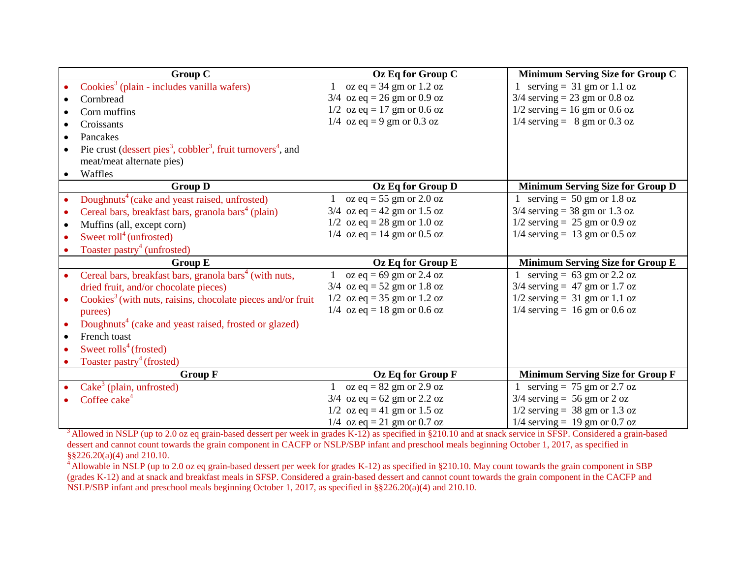| <b>Group C</b>                                                                                   | Oz Eq for Group C                                | Minimum Serving Size for Group C              |
|--------------------------------------------------------------------------------------------------|--------------------------------------------------|-----------------------------------------------|
| $\text{Cookies}^3$ (plain - includes vanilla wafers)                                             | oz eq = $34 \text{ gm}$ or $1.2 \text{ oz}$<br>1 | serving = $31 \text{ gm}$ or $1.1 \text{ oz}$ |
| Cornbread                                                                                        | $3/4$ oz eq = 26 gm or 0.9 oz                    | $3/4$ serving = 23 gm or 0.8 oz               |
| Corn muffins                                                                                     | $1/2$ oz eq = 17 gm or 0.6 oz                    | $1/2$ serving = 16 gm or 0.6 oz               |
| Croissants                                                                                       | $1/4$ oz eq = 9 gm or 0.3 oz                     | $1/4$ serving = 8 gm or 0.3 oz                |
| Pancakes<br>$\bullet$                                                                            |                                                  |                                               |
| Pie crust (dessert pies <sup>3</sup> , cobbler <sup>3</sup> , fruit turnovers <sup>4</sup> , and |                                                  |                                               |
| meat/meat alternate pies)                                                                        |                                                  |                                               |
| Waffles<br>$\bullet$                                                                             |                                                  |                                               |
| <b>Group D</b>                                                                                   | Oz Eq for Group D                                | <b>Minimum Serving Size for Group D</b>       |
| Doughnuts <sup>4</sup> (cake and yeast raised, unfrosted)<br>$\bullet$                           | oz eq = $55 \text{ gm}$ or $2.0 \text{ oz}$      | serving = $50 \text{ gm or } 1.8 \text{ oz}$  |
| Cereal bars, breakfast bars, granola bars <sup>4</sup> (plain)<br>$\bullet$                      | $3/4$ oz eq = 42 gm or 1.5 oz                    | $3/4$ serving = 38 gm or 1.3 oz               |
| Muffins (all, except corn)<br>$\bullet$                                                          | $1/2$ oz eq = 28 gm or 1.0 oz                    | $1/2$ serving = 25 gm or 0.9 oz               |
| Sweet roll <sup>4</sup> (unfrosted)<br>$\bullet$                                                 | $1/4$ oz eq = 14 gm or 0.5 oz                    | $1/4$ serving = 13 gm or 0.5 oz               |
| Toaster pastry <sup>4</sup> (unfrosted)                                                          |                                                  |                                               |
| <b>Group E</b>                                                                                   | Oz Eq for Group E                                | <b>Minimum Serving Size for Group E</b>       |
| Cereal bars, breakfast bars, granola bars <sup>4</sup> (with nuts,<br>$\bullet$                  | oz eq = $69 \text{ gm}$ or 2.4 oz                | serving = $63 \text{ gm}$ or 2.2 oz           |
| dried fruit, and/or chocolate pieces)                                                            | $3/4$ oz eq = 52 gm or 1.8 oz                    | $3/4$ serving = 47 gm or 1.7 oz               |
| Cookies <sup>3</sup> (with nuts, raisins, chocolate pieces and/or fruit                          | $1/2$ oz eq = 35 gm or 1.2 oz                    | $1/2$ serving = 31 gm or 1.1 oz               |
| purees)                                                                                          | $1/4$ oz eq = 18 gm or 0.6 oz                    | $1/4$ serving = 16 gm or 0.6 oz               |
| Doughnuts <sup>4</sup> (cake and yeast raised, frosted or glazed)<br>$\bullet$                   |                                                  |                                               |
| French toast<br>$\bullet$                                                                        |                                                  |                                               |
| Sweet $\text{rolls}^4$ (frosted)                                                                 |                                                  |                                               |
| Toaster pastry <sup>4</sup> (frosted)                                                            |                                                  |                                               |
| <b>Group F</b>                                                                                   | Oz Eq for Group F                                | <b>Minimum Serving Size for Group F</b>       |
| $\text{Cake}^3$ (plain, unfrosted)                                                               | oz eq = $82$ gm or $2.9$ oz                      | serving = $75 \text{ gm or } 2.7 \text{ oz}$  |
| Coffee cake <sup>4</sup>                                                                         | $3/4$ oz eq = 62 gm or 2.2 oz                    | $3/4$ serving = 56 gm or 2 oz                 |
|                                                                                                  | $1/2$ oz eq = 41 gm or 1.5 oz                    | $1/2$ serving = 38 gm or 1.3 oz               |
|                                                                                                  | 1/4 oz eq = 21 gm or 0.7 oz                      | $1/4$ serving = 19 gm or 0.7 oz               |

<sup>3</sup> Allowed in NSLP (up to 2.0 oz eq grain-based dessert per week in grades K-12) as specified in §210.10 and at snack service in SFSP. Considered a grain-based dessert and cannot count towards the grain component in CACFP or NSLP/SBP infant and preschool meals beginning October 1, 2017, as specified in §§226.20(a)(4) and 210.10.

<sup>4</sup> Allowable in NSLP (up to 2.0 oz eq grain-based dessert per week for grades K-12) as specified in §210.10. May count towards the grain component in SBP (grades K-12) and at snack and breakfast meals in SFSP. Considered a grain-based dessert and cannot count towards the grain component in the CACFP and NSLP/SBP infant and preschool meals beginning October 1, 2017, as specified in §§226.20(a)(4) and 210.10.